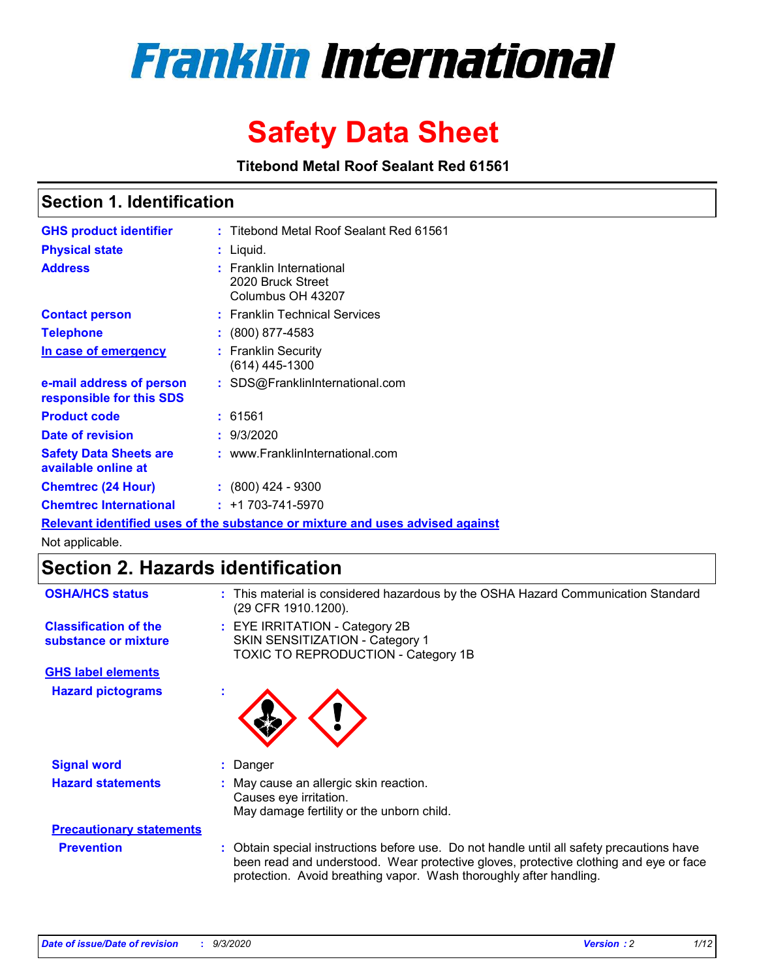

# **Safety Data Sheet**

**Titebond Metal Roof Sealant Red 61561**

# **Section 1. Identification**

| <b>GHS product identifier</b>                                                 |  | : Titebond Metal Roof Sealant Red 61561                                 |  |  |
|-------------------------------------------------------------------------------|--|-------------------------------------------------------------------------|--|--|
| <b>Physical state</b>                                                         |  | : Liquid.                                                               |  |  |
| <b>Address</b>                                                                |  | <b>Franklin International</b><br>2020 Bruck Street<br>Columbus OH 43207 |  |  |
| <b>Contact person</b>                                                         |  | : Franklin Technical Services                                           |  |  |
| <b>Telephone</b>                                                              |  | $\colon$ (800) 877-4583                                                 |  |  |
| In case of emergency                                                          |  | : Franklin Security<br>(614) 445-1300                                   |  |  |
| e-mail address of person<br>responsible for this SDS                          |  | : SDS@FranklinInternational.com                                         |  |  |
| <b>Product code</b>                                                           |  | : 61561                                                                 |  |  |
| Date of revision                                                              |  | : 9/3/2020                                                              |  |  |
| <b>Safety Data Sheets are</b><br>available online at                          |  | : www.FranklinInternational.com                                         |  |  |
| <b>Chemtrec (24 Hour)</b>                                                     |  | $: (800)$ 424 - 9300                                                    |  |  |
| <b>Chemtrec International</b>                                                 |  | $: +1703 - 741 - 5970$                                                  |  |  |
| Relevant identified uses of the substance or mixture and uses advised against |  |                                                                         |  |  |

Not applicable.

# **Section 2. Hazards identification**

| <b>OSHA/HCS status</b>                               |    | : This material is considered hazardous by the OSHA Hazard Communication Standard<br>(29 CFR 1910.1200).                                                                                                                                                 |
|------------------------------------------------------|----|----------------------------------------------------------------------------------------------------------------------------------------------------------------------------------------------------------------------------------------------------------|
| <b>Classification of the</b><br>substance or mixture |    | : EYE IRRITATION - Category 2B<br>SKIN SENSITIZATION - Category 1<br>TOXIC TO REPRODUCTION - Category 1B                                                                                                                                                 |
| <b>GHS label elements</b>                            |    |                                                                                                                                                                                                                                                          |
| <b>Hazard pictograms</b>                             | ×. |                                                                                                                                                                                                                                                          |
| <b>Signal word</b>                                   | ÷. | Danger                                                                                                                                                                                                                                                   |
| <b>Hazard statements</b>                             |    | May cause an allergic skin reaction.<br>Causes eye irritation.<br>May damage fertility or the unborn child.                                                                                                                                              |
| <b>Precautionary statements</b>                      |    |                                                                                                                                                                                                                                                          |
| <b>Prevention</b>                                    |    | : Obtain special instructions before use. Do not handle until all safety precautions have<br>been read and understood. Wear protective gloves, protective clothing and eye or face<br>protection. Avoid breathing vapor. Wash thoroughly after handling. |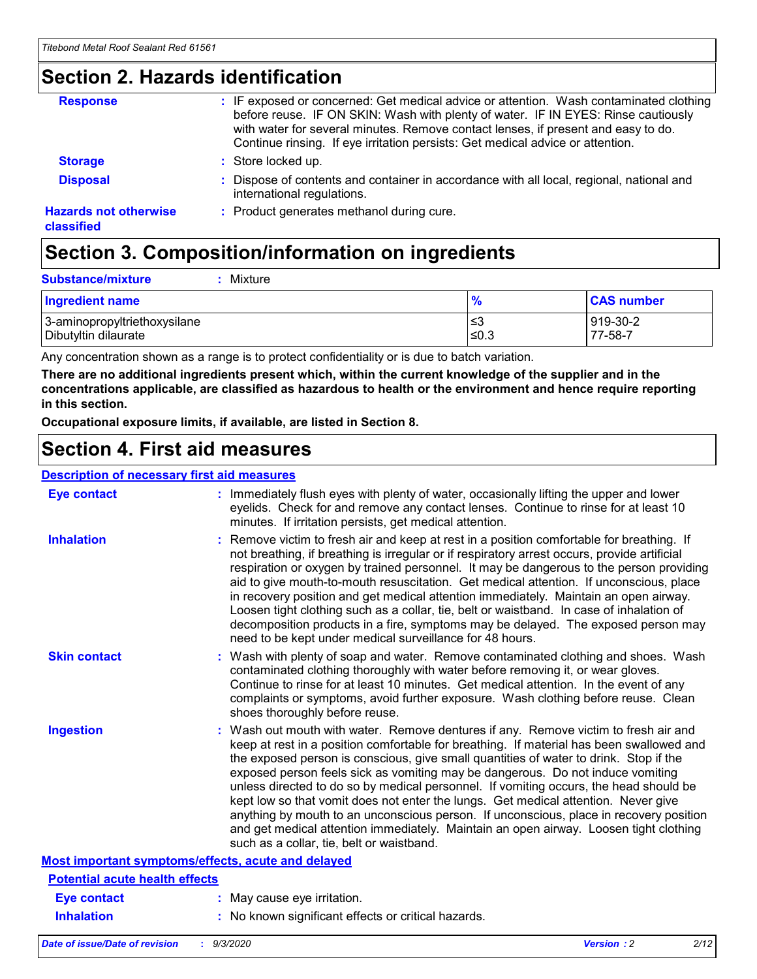# **Section 2. Hazards identification**

| <b>Response</b>                            | : IF exposed or concerned: Get medical advice or attention. Wash contaminated clothing<br>before reuse. IF ON SKIN: Wash with plenty of water. IF IN EYES: Rinse cautiously<br>with water for several minutes. Remove contact lenses, if present and easy to do.<br>Continue rinsing. If eye irritation persists: Get medical advice or attention. |
|--------------------------------------------|----------------------------------------------------------------------------------------------------------------------------------------------------------------------------------------------------------------------------------------------------------------------------------------------------------------------------------------------------|
| <b>Storage</b>                             | : Store locked up.                                                                                                                                                                                                                                                                                                                                 |
| <b>Disposal</b>                            | : Dispose of contents and container in accordance with all local, regional, national and<br>international regulations.                                                                                                                                                                                                                             |
| <b>Hazards not otherwise</b><br>classified | : Product generates methanol during cure.                                                                                                                                                                                                                                                                                                          |

# **Section 3. Composition/information on ingredients**

| <b>Substance/mixture</b><br>Mixture |
|-------------------------------------|
|                                     |

| <b>Ingredient name</b>       | 70    | <b>CAS number</b> |
|------------------------------|-------|-------------------|
| 3-aminopropyltriethoxysilane | ≤3    | 919-30-2          |
| Dibutyltin dilaurate         | .≤0.3 | 77-58-7           |

Any concentration shown as a range is to protect confidentiality or is due to batch variation.

**There are no additional ingredients present which, within the current knowledge of the supplier and in the concentrations applicable, are classified as hazardous to health or the environment and hence require reporting in this section.**

**Occupational exposure limits, if available, are listed in Section 8.**

# **Section 4. First aid measures**

| <b>Description of necessary first aid measures</b> |                                                                                                                                                                                                                                                                                                                                                                                                                                                                                                                                                                                                                                                                                                                                                                           |
|----------------------------------------------------|---------------------------------------------------------------------------------------------------------------------------------------------------------------------------------------------------------------------------------------------------------------------------------------------------------------------------------------------------------------------------------------------------------------------------------------------------------------------------------------------------------------------------------------------------------------------------------------------------------------------------------------------------------------------------------------------------------------------------------------------------------------------------|
| <b>Eye contact</b>                                 | : Immediately flush eyes with plenty of water, occasionally lifting the upper and lower<br>eyelids. Check for and remove any contact lenses. Continue to rinse for at least 10<br>minutes. If irritation persists, get medical attention.                                                                                                                                                                                                                                                                                                                                                                                                                                                                                                                                 |
| <b>Inhalation</b>                                  | : Remove victim to fresh air and keep at rest in a position comfortable for breathing. If<br>not breathing, if breathing is irregular or if respiratory arrest occurs, provide artificial<br>respiration or oxygen by trained personnel. It may be dangerous to the person providing<br>aid to give mouth-to-mouth resuscitation. Get medical attention. If unconscious, place<br>in recovery position and get medical attention immediately. Maintain an open airway.<br>Loosen tight clothing such as a collar, tie, belt or waistband. In case of inhalation of<br>decomposition products in a fire, symptoms may be delayed. The exposed person may<br>need to be kept under medical surveillance for 48 hours.                                                       |
| <b>Skin contact</b>                                | : Wash with plenty of soap and water. Remove contaminated clothing and shoes. Wash<br>contaminated clothing thoroughly with water before removing it, or wear gloves.<br>Continue to rinse for at least 10 minutes. Get medical attention. In the event of any<br>complaints or symptoms, avoid further exposure. Wash clothing before reuse. Clean<br>shoes thoroughly before reuse.                                                                                                                                                                                                                                                                                                                                                                                     |
| <b>Ingestion</b>                                   | : Wash out mouth with water. Remove dentures if any. Remove victim to fresh air and<br>keep at rest in a position comfortable for breathing. If material has been swallowed and<br>the exposed person is conscious, give small quantities of water to drink. Stop if the<br>exposed person feels sick as vomiting may be dangerous. Do not induce vomiting<br>unless directed to do so by medical personnel. If vomiting occurs, the head should be<br>kept low so that vomit does not enter the lungs. Get medical attention. Never give<br>anything by mouth to an unconscious person. If unconscious, place in recovery position<br>and get medical attention immediately. Maintain an open airway. Loosen tight clothing<br>such as a collar, tie, belt or waistband. |
| Most important symptoms/effects, acute and delayed |                                                                                                                                                                                                                                                                                                                                                                                                                                                                                                                                                                                                                                                                                                                                                                           |
| <b>Potential acute health effects</b>              |                                                                                                                                                                                                                                                                                                                                                                                                                                                                                                                                                                                                                                                                                                                                                                           |
| <b>Eye contact</b>                                 | : May cause eye irritation.                                                                                                                                                                                                                                                                                                                                                                                                                                                                                                                                                                                                                                                                                                                                               |
| <b>Inhalation</b>                                  | : No known significant effects or critical hazards.                                                                                                                                                                                                                                                                                                                                                                                                                                                                                                                                                                                                                                                                                                                       |
|                                                    |                                                                                                                                                                                                                                                                                                                                                                                                                                                                                                                                                                                                                                                                                                                                                                           |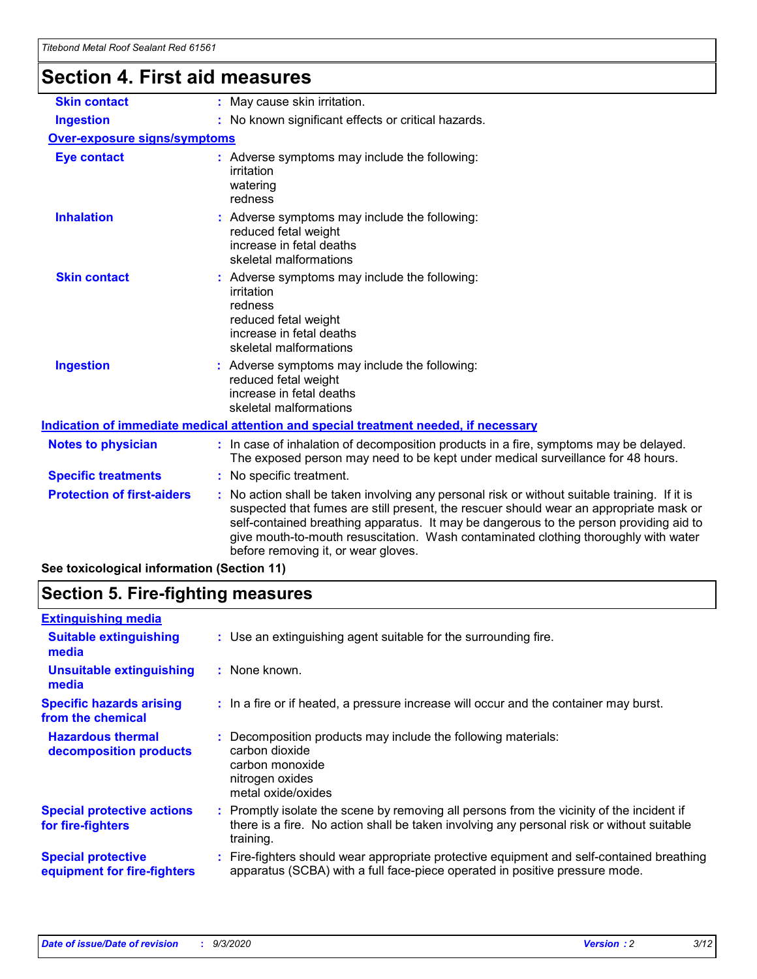# **Section 4. First aid measures**

| <b>Skin contact</b>                                                                                                                                                                                                                                                                                                                                                                                                                                | : May cause skin irritation.                                                                                                                                             |  |  |  |  |
|----------------------------------------------------------------------------------------------------------------------------------------------------------------------------------------------------------------------------------------------------------------------------------------------------------------------------------------------------------------------------------------------------------------------------------------------------|--------------------------------------------------------------------------------------------------------------------------------------------------------------------------|--|--|--|--|
| <b>Ingestion</b>                                                                                                                                                                                                                                                                                                                                                                                                                                   | : No known significant effects or critical hazards.                                                                                                                      |  |  |  |  |
| <b>Over-exposure signs/symptoms</b>                                                                                                                                                                                                                                                                                                                                                                                                                |                                                                                                                                                                          |  |  |  |  |
| <b>Eye contact</b>                                                                                                                                                                                                                                                                                                                                                                                                                                 | : Adverse symptoms may include the following:<br>irritation<br>watering<br>redness                                                                                       |  |  |  |  |
| <b>Inhalation</b>                                                                                                                                                                                                                                                                                                                                                                                                                                  | : Adverse symptoms may include the following:<br>reduced fetal weight<br>increase in fetal deaths<br>skeletal malformations                                              |  |  |  |  |
| <b>Skin contact</b>                                                                                                                                                                                                                                                                                                                                                                                                                                | Adverse symptoms may include the following:<br>irritation<br>redness<br>reduced fetal weight<br>increase in fetal deaths<br>skeletal malformations                       |  |  |  |  |
| <b>Ingestion</b>                                                                                                                                                                                                                                                                                                                                                                                                                                   | : Adverse symptoms may include the following:<br>reduced fetal weight<br>increase in fetal deaths<br>skeletal malformations                                              |  |  |  |  |
|                                                                                                                                                                                                                                                                                                                                                                                                                                                    | Indication of immediate medical attention and special treatment needed, if necessary                                                                                     |  |  |  |  |
| <b>Notes to physician</b>                                                                                                                                                                                                                                                                                                                                                                                                                          | : In case of inhalation of decomposition products in a fire, symptoms may be delayed.<br>The exposed person may need to be kept under medical surveillance for 48 hours. |  |  |  |  |
| <b>Specific treatments</b>                                                                                                                                                                                                                                                                                                                                                                                                                         | : No specific treatment.                                                                                                                                                 |  |  |  |  |
| <b>Protection of first-aiders</b><br>No action shall be taken involving any personal risk or without suitable training. If it is<br>suspected that fumes are still present, the rescuer should wear an appropriate mask or<br>self-contained breathing apparatus. It may be dangerous to the person providing aid to<br>give mouth-to-mouth resuscitation. Wash contaminated clothing thoroughly with water<br>before removing it, or wear gloves. |                                                                                                                                                                          |  |  |  |  |
| See toxicological information (Section 11)                                                                                                                                                                                                                                                                                                                                                                                                         |                                                                                                                                                                          |  |  |  |  |

# **Section 5. Fire-fighting measures**

| <b>Extinguishing media</b><br>: Use an extinguishing agent suitable for the surrounding fire.<br><b>Suitable extinguishing</b><br>media<br><b>Unsuitable extinguishing</b><br>: None known.<br>media<br><b>Specific hazards arising</b><br>: In a fire or if heated, a pressure increase will occur and the container may burst.<br>from the chemical<br><b>Hazardous thermal</b><br>Decomposition products may include the following materials:<br>carbon dioxide<br>decomposition products<br>carbon monoxide<br>nitrogen oxides<br>metal oxide/oxides<br><b>Special protective actions</b><br>: Promptly isolate the scene by removing all persons from the vicinity of the incident if<br>there is a fire. No action shall be taken involving any personal risk or without suitable<br>for fire-fighters<br>training.<br><b>Special protective</b><br>apparatus (SCBA) with a full face-piece operated in positive pressure mode.<br>equipment for fire-fighters |                                                                                           |
|----------------------------------------------------------------------------------------------------------------------------------------------------------------------------------------------------------------------------------------------------------------------------------------------------------------------------------------------------------------------------------------------------------------------------------------------------------------------------------------------------------------------------------------------------------------------------------------------------------------------------------------------------------------------------------------------------------------------------------------------------------------------------------------------------------------------------------------------------------------------------------------------------------------------------------------------------------------------|-------------------------------------------------------------------------------------------|
|                                                                                                                                                                                                                                                                                                                                                                                                                                                                                                                                                                                                                                                                                                                                                                                                                                                                                                                                                                      |                                                                                           |
|                                                                                                                                                                                                                                                                                                                                                                                                                                                                                                                                                                                                                                                                                                                                                                                                                                                                                                                                                                      |                                                                                           |
|                                                                                                                                                                                                                                                                                                                                                                                                                                                                                                                                                                                                                                                                                                                                                                                                                                                                                                                                                                      |                                                                                           |
|                                                                                                                                                                                                                                                                                                                                                                                                                                                                                                                                                                                                                                                                                                                                                                                                                                                                                                                                                                      |                                                                                           |
|                                                                                                                                                                                                                                                                                                                                                                                                                                                                                                                                                                                                                                                                                                                                                                                                                                                                                                                                                                      |                                                                                           |
|                                                                                                                                                                                                                                                                                                                                                                                                                                                                                                                                                                                                                                                                                                                                                                                                                                                                                                                                                                      |                                                                                           |
|                                                                                                                                                                                                                                                                                                                                                                                                                                                                                                                                                                                                                                                                                                                                                                                                                                                                                                                                                                      | : Fire-fighters should wear appropriate protective equipment and self-contained breathing |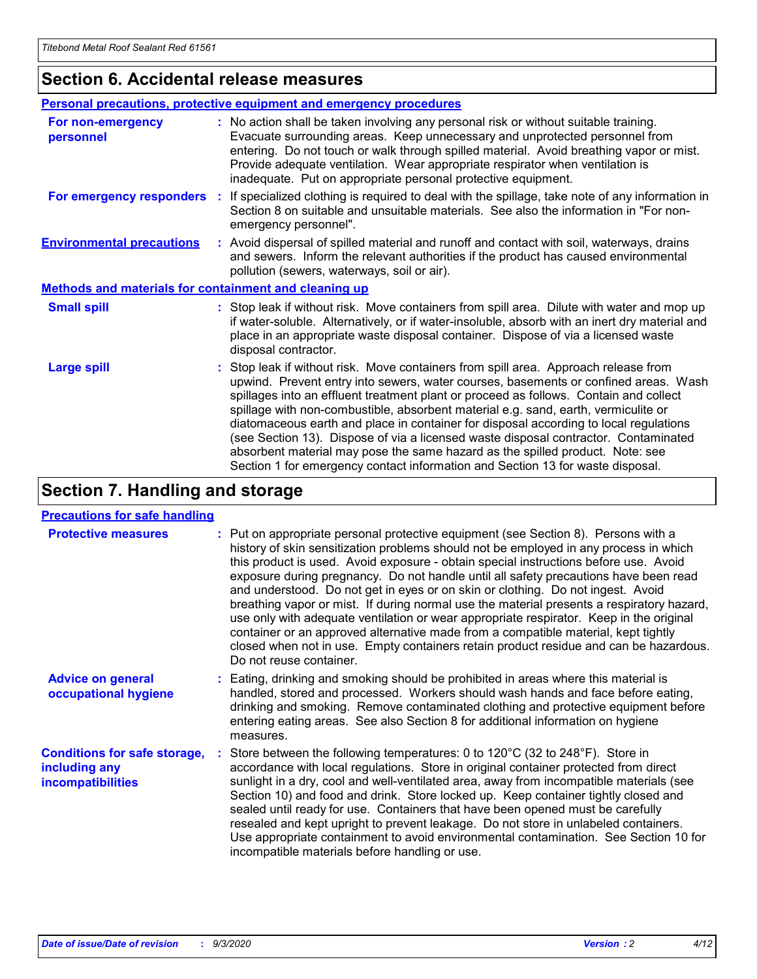# **Section 6. Accidental release measures**

|                                                              | <b>Personal precautions, protective equipment and emergency procedures</b>                                                                                                                                                                                                                                                                                                                                                                                                                                                                                                                                                                                                                                   |  |  |  |
|--------------------------------------------------------------|--------------------------------------------------------------------------------------------------------------------------------------------------------------------------------------------------------------------------------------------------------------------------------------------------------------------------------------------------------------------------------------------------------------------------------------------------------------------------------------------------------------------------------------------------------------------------------------------------------------------------------------------------------------------------------------------------------------|--|--|--|
| For non-emergency<br>personnel                               | : No action shall be taken involving any personal risk or without suitable training.<br>Evacuate surrounding areas. Keep unnecessary and unprotected personnel from<br>entering. Do not touch or walk through spilled material. Avoid breathing vapor or mist.<br>Provide adequate ventilation. Wear appropriate respirator when ventilation is<br>inadequate. Put on appropriate personal protective equipment.                                                                                                                                                                                                                                                                                             |  |  |  |
| For emergency responders                                     | : If specialized clothing is required to deal with the spillage, take note of any information in<br>Section 8 on suitable and unsuitable materials. See also the information in "For non-<br>emergency personnel".                                                                                                                                                                                                                                                                                                                                                                                                                                                                                           |  |  |  |
| <b>Environmental precautions</b>                             | : Avoid dispersal of spilled material and runoff and contact with soil, waterways, drains<br>and sewers. Inform the relevant authorities if the product has caused environmental<br>pollution (sewers, waterways, soil or air).                                                                                                                                                                                                                                                                                                                                                                                                                                                                              |  |  |  |
| <b>Methods and materials for containment and cleaning up</b> |                                                                                                                                                                                                                                                                                                                                                                                                                                                                                                                                                                                                                                                                                                              |  |  |  |
| <b>Small spill</b>                                           | : Stop leak if without risk. Move containers from spill area. Dilute with water and mop up<br>if water-soluble. Alternatively, or if water-insoluble, absorb with an inert dry material and<br>place in an appropriate waste disposal container. Dispose of via a licensed waste<br>disposal contractor.                                                                                                                                                                                                                                                                                                                                                                                                     |  |  |  |
| <b>Large spill</b>                                           | : Stop leak if without risk. Move containers from spill area. Approach release from<br>upwind. Prevent entry into sewers, water courses, basements or confined areas. Wash<br>spillages into an effluent treatment plant or proceed as follows. Contain and collect<br>spillage with non-combustible, absorbent material e.g. sand, earth, vermiculite or<br>diatomaceous earth and place in container for disposal according to local regulations<br>(see Section 13). Dispose of via a licensed waste disposal contractor. Contaminated<br>absorbent material may pose the same hazard as the spilled product. Note: see<br>Section 1 for emergency contact information and Section 13 for waste disposal. |  |  |  |

# **Section 7. Handling and storage**

### **Precautions for safe handling**

| <b>Protective measures</b>                                                       | : Put on appropriate personal protective equipment (see Section 8). Persons with a<br>history of skin sensitization problems should not be employed in any process in which<br>this product is used. Avoid exposure - obtain special instructions before use. Avoid<br>exposure during pregnancy. Do not handle until all safety precautions have been read<br>and understood. Do not get in eyes or on skin or clothing. Do not ingest. Avoid<br>breathing vapor or mist. If during normal use the material presents a respiratory hazard,<br>use only with adequate ventilation or wear appropriate respirator. Keep in the original<br>container or an approved alternative made from a compatible material, kept tightly<br>closed when not in use. Empty containers retain product residue and can be hazardous.<br>Do not reuse container. |
|----------------------------------------------------------------------------------|--------------------------------------------------------------------------------------------------------------------------------------------------------------------------------------------------------------------------------------------------------------------------------------------------------------------------------------------------------------------------------------------------------------------------------------------------------------------------------------------------------------------------------------------------------------------------------------------------------------------------------------------------------------------------------------------------------------------------------------------------------------------------------------------------------------------------------------------------|
| <b>Advice on general</b><br>occupational hygiene                                 | : Eating, drinking and smoking should be prohibited in areas where this material is<br>handled, stored and processed. Workers should wash hands and face before eating,<br>drinking and smoking. Remove contaminated clothing and protective equipment before<br>entering eating areas. See also Section 8 for additional information on hygiene<br>measures.                                                                                                                                                                                                                                                                                                                                                                                                                                                                                    |
| <b>Conditions for safe storage,</b><br>including any<br><b>incompatibilities</b> | : Store between the following temperatures: 0 to 120°C (32 to 248°F). Store in<br>accordance with local regulations. Store in original container protected from direct<br>sunlight in a dry, cool and well-ventilated area, away from incompatible materials (see<br>Section 10) and food and drink. Store locked up. Keep container tightly closed and<br>sealed until ready for use. Containers that have been opened must be carefully<br>resealed and kept upright to prevent leakage. Do not store in unlabeled containers.<br>Use appropriate containment to avoid environmental contamination. See Section 10 for<br>incompatible materials before handling or use.                                                                                                                                                                       |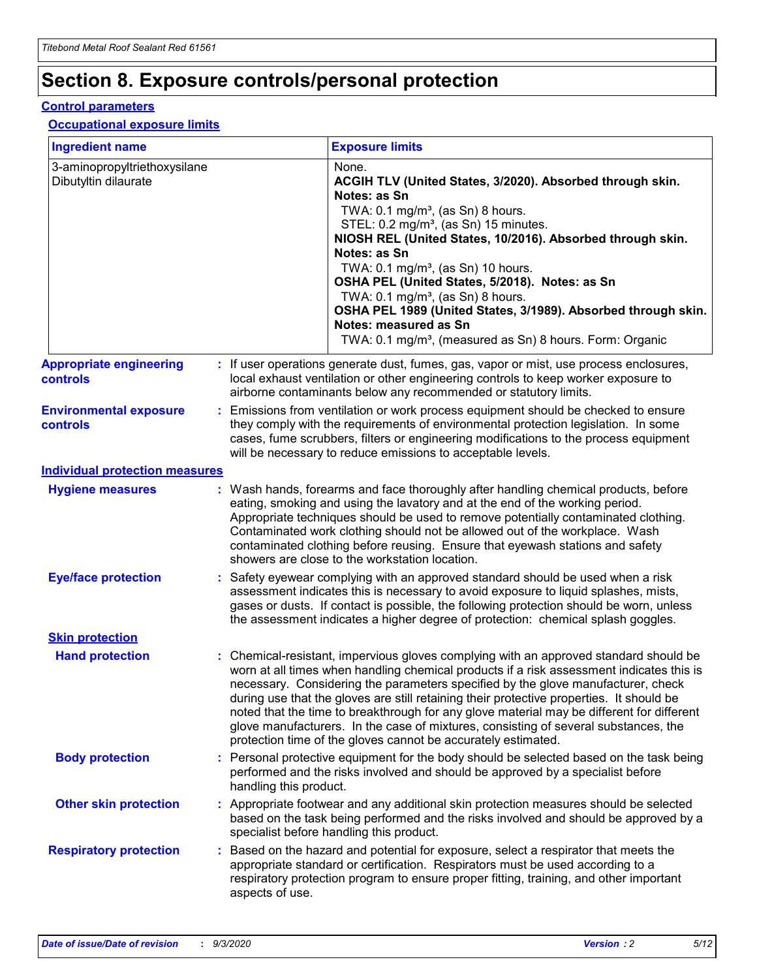# **Section 8. Exposure controls/personal protection**

### **Control parameters**

## **Occupational exposure limits**

| <b>Ingredient name</b>                               |                                                                                                                                                                                                                                                                                                                                                       | <b>Exposure limits</b>                                                                                                                                                                                                                                                                                                                                                                                                                                                                                                                                                                                                 |  |
|------------------------------------------------------|-------------------------------------------------------------------------------------------------------------------------------------------------------------------------------------------------------------------------------------------------------------------------------------------------------------------------------------------------------|------------------------------------------------------------------------------------------------------------------------------------------------------------------------------------------------------------------------------------------------------------------------------------------------------------------------------------------------------------------------------------------------------------------------------------------------------------------------------------------------------------------------------------------------------------------------------------------------------------------------|--|
| 3-aminopropyltriethoxysilane<br>Dibutyltin dilaurate |                                                                                                                                                                                                                                                                                                                                                       | None.<br>ACGIH TLV (United States, 3/2020). Absorbed through skin.<br>Notes: as Sn<br>TWA: 0.1 mg/m <sup>3</sup> , (as Sn) 8 hours.<br>STEL: 0.2 mg/m <sup>3</sup> , (as Sn) 15 minutes.<br>NIOSH REL (United States, 10/2016). Absorbed through skin.<br>Notes: as Sn<br>TWA: 0.1 mg/m <sup>3</sup> , (as Sn) 10 hours.<br>OSHA PEL (United States, 5/2018). Notes: as Sn<br>TWA: $0.1 \text{ mg/m}^3$ , (as Sn) 8 hours.<br>OSHA PEL 1989 (United States, 3/1989). Absorbed through skin.<br>Notes: measured as Sn<br>TWA: 0.1 mg/m <sup>3</sup> , (measured as Sn) 8 hours. Form: Organic                           |  |
| <b>Appropriate engineering</b><br><b>controls</b>    |                                                                                                                                                                                                                                                                                                                                                       | : If user operations generate dust, fumes, gas, vapor or mist, use process enclosures,<br>local exhaust ventilation or other engineering controls to keep worker exposure to<br>airborne contaminants below any recommended or statutory limits.                                                                                                                                                                                                                                                                                                                                                                       |  |
| <b>Environmental exposure</b><br><b>controls</b>     | Emissions from ventilation or work process equipment should be checked to ensure<br>they comply with the requirements of environmental protection legislation. In some<br>cases, fume scrubbers, filters or engineering modifications to the process equipment<br>will be necessary to reduce emissions to acceptable levels.                         |                                                                                                                                                                                                                                                                                                                                                                                                                                                                                                                                                                                                                        |  |
| <b>Individual protection measures</b>                |                                                                                                                                                                                                                                                                                                                                                       |                                                                                                                                                                                                                                                                                                                                                                                                                                                                                                                                                                                                                        |  |
| <b>Hygiene measures</b>                              |                                                                                                                                                                                                                                                                                                                                                       | : Wash hands, forearms and face thoroughly after handling chemical products, before<br>eating, smoking and using the lavatory and at the end of the working period.<br>Appropriate techniques should be used to remove potentially contaminated clothing.<br>Contaminated work clothing should not be allowed out of the workplace. Wash<br>contaminated clothing before reusing. Ensure that eyewash stations and safety<br>showers are close to the workstation location.                                                                                                                                            |  |
| <b>Eye/face protection</b>                           | : Safety eyewear complying with an approved standard should be used when a risk<br>assessment indicates this is necessary to avoid exposure to liquid splashes, mists,<br>gases or dusts. If contact is possible, the following protection should be worn, unless<br>the assessment indicates a higher degree of protection: chemical splash goggles. |                                                                                                                                                                                                                                                                                                                                                                                                                                                                                                                                                                                                                        |  |
| <b>Skin protection</b>                               |                                                                                                                                                                                                                                                                                                                                                       |                                                                                                                                                                                                                                                                                                                                                                                                                                                                                                                                                                                                                        |  |
| <b>Hand protection</b>                               |                                                                                                                                                                                                                                                                                                                                                       | : Chemical-resistant, impervious gloves complying with an approved standard should be<br>worn at all times when handling chemical products if a risk assessment indicates this is<br>necessary. Considering the parameters specified by the glove manufacturer, check<br>during use that the gloves are still retaining their protective properties. It should be<br>noted that the time to breakthrough for any glove material may be different for different<br>glove manufacturers. In the case of mixtures, consisting of several substances, the<br>protection time of the gloves cannot be accurately estimated. |  |
| <b>Body protection</b>                               | handling this product.                                                                                                                                                                                                                                                                                                                                | : Personal protective equipment for the body should be selected based on the task being<br>performed and the risks involved and should be approved by a specialist before                                                                                                                                                                                                                                                                                                                                                                                                                                              |  |
| <b>Other skin protection</b>                         |                                                                                                                                                                                                                                                                                                                                                       | : Appropriate footwear and any additional skin protection measures should be selected<br>based on the task being performed and the risks involved and should be approved by a<br>specialist before handling this product.                                                                                                                                                                                                                                                                                                                                                                                              |  |
| <b>Respiratory protection</b>                        | aspects of use.                                                                                                                                                                                                                                                                                                                                       | : Based on the hazard and potential for exposure, select a respirator that meets the<br>appropriate standard or certification. Respirators must be used according to a<br>respiratory protection program to ensure proper fitting, training, and other important                                                                                                                                                                                                                                                                                                                                                       |  |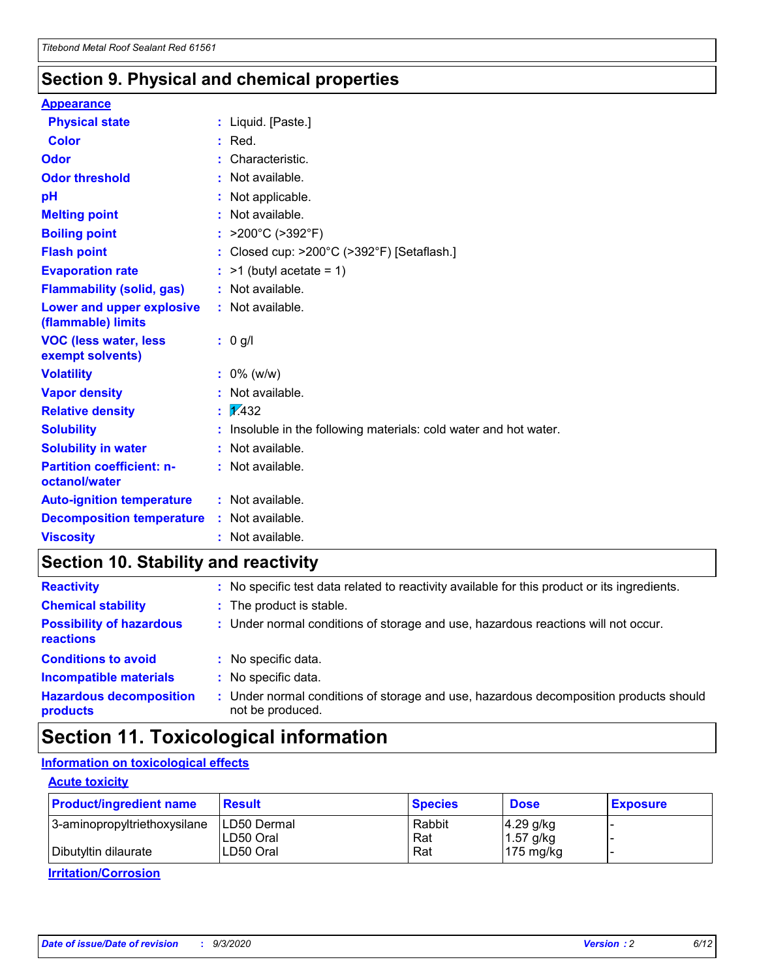# **Section 9. Physical and chemical properties**

### **Appearance**

| <b>Physical state</b>                             | : Liquid. [Paste.]                                              |
|---------------------------------------------------|-----------------------------------------------------------------|
| Color                                             | $:$ Red.                                                        |
| Odor                                              | : Characteristic.                                               |
| <b>Odor threshold</b>                             | $:$ Not available.                                              |
| рH                                                | : Not applicable.                                               |
| <b>Melting point</b>                              | : Not available.                                                |
| <b>Boiling point</b>                              | : $>200^{\circ}$ C ( $>392^{\circ}$ F)                          |
| <b>Flash point</b>                                | : Closed cup: >200°C (>392°F) [Setaflash.]                      |
| <b>Evaporation rate</b>                           | $:$ >1 (butyl acetate = 1)                                      |
| <b>Flammability (solid, gas)</b>                  | : Not available.                                                |
| Lower and upper explosive<br>(flammable) limits   | : Not available.                                                |
| <b>VOC (less water, less</b><br>exempt solvents)  | $: 0$ g/l                                                       |
| <b>Volatility</b>                                 | $: 0\%$ (w/w)                                                   |
| <b>Vapor density</b>                              | : Not available.                                                |
| <b>Relative density</b>                           | $\mathbf{1}$ $\mathbf{\sqrt{432}}$                              |
| <b>Solubility</b>                                 | Insoluble in the following materials: cold water and hot water. |
| <b>Solubility in water</b>                        | : Not available.                                                |
| <b>Partition coefficient: n-</b><br>octanol/water | $:$ Not available.                                              |
| <b>Auto-ignition temperature</b>                  | : Not available.                                                |
| <b>Decomposition temperature</b>                  | : Not available.                                                |
| <b>Viscosity</b>                                  | : Not available.                                                |

# **Section 10. Stability and reactivity**

| <b>Reactivity</b>                            |    | : No specific test data related to reactivity available for this product or its ingredients.            |
|----------------------------------------------|----|---------------------------------------------------------------------------------------------------------|
| <b>Chemical stability</b>                    |    | : The product is stable.                                                                                |
| <b>Possibility of hazardous</b><br>reactions |    | : Under normal conditions of storage and use, hazardous reactions will not occur.                       |
| <b>Conditions to avoid</b>                   |    | : No specific data.                                                                                     |
| <b>Incompatible materials</b>                | ٠. | No specific data.                                                                                       |
| <b>Hazardous decomposition</b><br>products   | ÷. | Under normal conditions of storage and use, hazardous decomposition products should<br>not be produced. |

# **Section 11. Toxicological information**

## **Information on toxicological effects**

### **Acute toxicity**

| <b>Product/ingredient name</b> | <b>Result</b>           | <b>Species</b> | <b>Dose</b>                | <b>Exposure</b> |
|--------------------------------|-------------------------|----------------|----------------------------|-----------------|
| 3-aminopropyltriethoxysilane   | <b>ILD50 Dermal</b>     | Rabbit         | 4.29 g/kg                  |                 |
| Dibutyltin dilaurate           | ILD50 Oral<br>LD50 Oral | Rat<br>Rat     | $1.57$ g/kg<br>175 $mg/kg$ |                 |
|                                |                         |                |                            |                 |

**Irritation/Corrosion**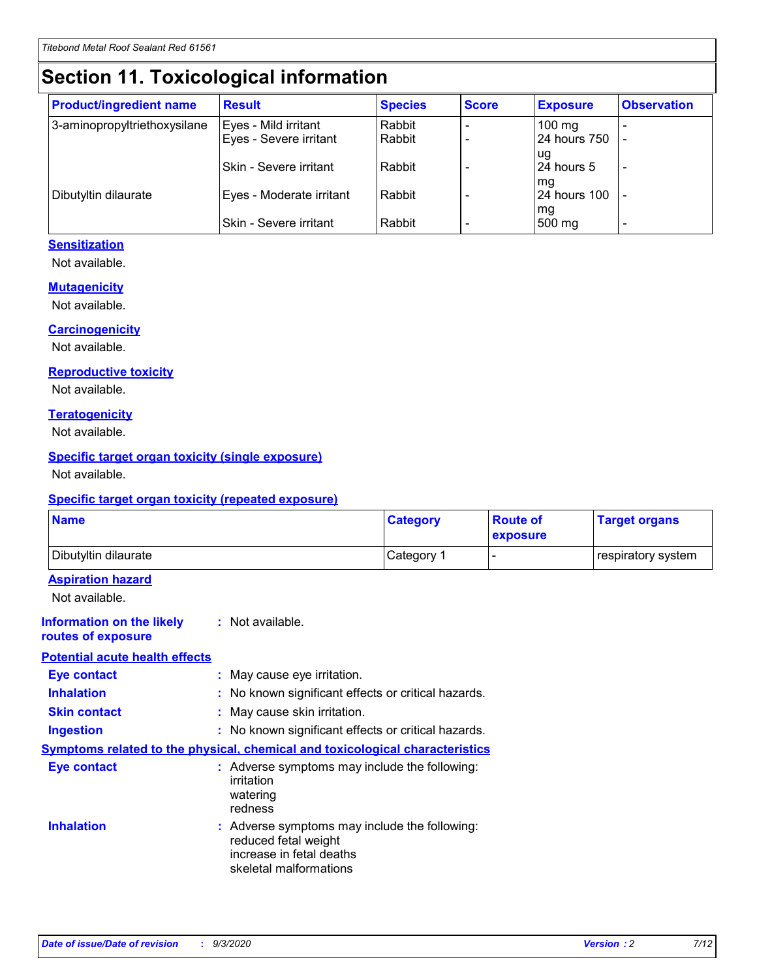# **Section 11. Toxicological information**

| <b>Product/ingredient name</b> | <b>Result</b>            | <b>Species</b> | <b>Score</b> | <b>Exposure</b>           | <b>Observation</b> |
|--------------------------------|--------------------------|----------------|--------------|---------------------------|--------------------|
| 3-aminopropyltriethoxysilane   | Eyes - Mild irritant     | Rabbit         |              | $100$ mg                  |                    |
|                                | Eyes - Severe irritant   | Rabbit         |              | 24 hours 750              |                    |
|                                |                          |                |              | ug                        |                    |
|                                | Skin - Severe irritant   | Rabbit         |              | 24 hours 5                | -                  |
| Dibutyltin dilaurate           | Eyes - Moderate irritant | Rabbit         |              | mq<br><b>24 hours 100</b> |                    |
|                                |                          |                |              | mg                        |                    |
|                                | Skin - Severe irritant   | Rabbit         |              | 500 mg                    |                    |

## **Sensitization**

Not available.

### **Mutagenicity**

Not available.

### **Carcinogenicity**

Not available.

#### **Reproductive toxicity**

Not available.

### **Teratogenicity**

Not available.

### **Specific target organ toxicity (single exposure)**

Not available.

### **Specific target organ toxicity (repeated exposure)**

| <b>Name</b>                                                                  |                                                                            | <b>Category</b>                                     | <b>Route of</b><br>exposure | <b>Target organs</b> |  |
|------------------------------------------------------------------------------|----------------------------------------------------------------------------|-----------------------------------------------------|-----------------------------|----------------------|--|
| Dibutyltin dilaurate                                                         |                                                                            | Category 1                                          | -                           | respiratory system   |  |
| <b>Aspiration hazard</b><br>Not available.                                   |                                                                            |                                                     |                             |                      |  |
| <b>Information on the likely</b><br>routes of exposure                       | : Not available.                                                           |                                                     |                             |                      |  |
| <b>Potential acute health effects</b>                                        |                                                                            |                                                     |                             |                      |  |
| <b>Eye contact</b>                                                           | : May cause eye irritation.                                                |                                                     |                             |                      |  |
| <b>Inhalation</b>                                                            |                                                                            | : No known significant effects or critical hazards. |                             |                      |  |
| <b>Skin contact</b>                                                          |                                                                            | : May cause skin irritation.                        |                             |                      |  |
| <b>Ingestion</b>                                                             |                                                                            | : No known significant effects or critical hazards. |                             |                      |  |
| Symptoms related to the physical, chemical and toxicological characteristics |                                                                            |                                                     |                             |                      |  |
| <b>Eye contact</b>                                                           | irritation<br>watering<br>redness                                          | : Adverse symptoms may include the following:       |                             |                      |  |
| <b>Inhalation</b>                                                            | reduced fetal weight<br>increase in fetal deaths<br>skeletal malformations | : Adverse symptoms may include the following:       |                             |                      |  |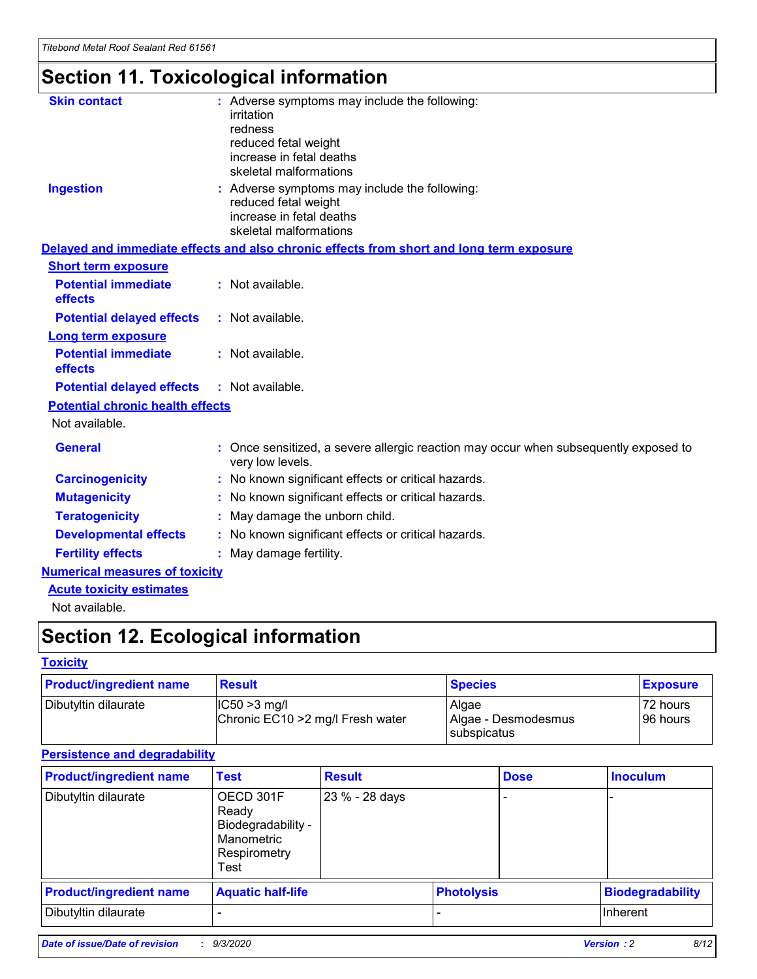# **Section 11. Toxicological information**

| <b>Skin contact</b>                     | : Adverse symptoms may include the following:                                                            |
|-----------------------------------------|----------------------------------------------------------------------------------------------------------|
|                                         | irritation                                                                                               |
|                                         | redness                                                                                                  |
|                                         | reduced fetal weight                                                                                     |
|                                         | increase in fetal deaths                                                                                 |
|                                         | skeletal malformations                                                                                   |
| <b>Ingestion</b>                        | : Adverse symptoms may include the following:                                                            |
|                                         | reduced fetal weight                                                                                     |
|                                         | increase in fetal deaths                                                                                 |
|                                         | skeletal malformations                                                                                   |
|                                         | Delayed and immediate effects and also chronic effects from short and long term exposure                 |
| <b>Short term exposure</b>              |                                                                                                          |
| <b>Potential immediate</b>              | : Not available.                                                                                         |
| effects                                 |                                                                                                          |
| <b>Potential delayed effects</b>        | : Not available.                                                                                         |
| Long term exposure                      |                                                                                                          |
| <b>Potential immediate</b>              | : Not available.                                                                                         |
| effects                                 |                                                                                                          |
| <b>Potential delayed effects</b>        | : Not available.                                                                                         |
| <b>Potential chronic health effects</b> |                                                                                                          |
| Not available.                          |                                                                                                          |
| <b>General</b>                          | : Once sensitized, a severe allergic reaction may occur when subsequently exposed to<br>very low levels. |
| <b>Carcinogenicity</b>                  | : No known significant effects or critical hazards.                                                      |
| <b>Mutagenicity</b>                     | : No known significant effects or critical hazards.                                                      |
| <b>Teratogenicity</b>                   | May damage the unborn child.                                                                             |
| <b>Developmental effects</b>            | : No known significant effects or critical hazards.                                                      |
| <b>Fertility effects</b>                | May damage fertility.                                                                                    |
| <b>Numerical measures of toxicity</b>   |                                                                                                          |
| <b>Acute toxicity estimates</b>         |                                                                                                          |
| الملمانة المستنقط فالمرابط              |                                                                                                          |

Not available.

# **Section 12. Ecological information**

### **Toxicity**

| <b>Product/ingredient name</b> | <b>Result</b>                                       | <b>Species</b>               | <b>Exposure</b>       |
|--------------------------------|-----------------------------------------------------|------------------------------|-----------------------|
| Dibutyltin dilaurate           | $ CC50>3$ mg/l<br>Chronic EC10 > 2 mg/l Fresh water | Algae<br>Algae - Desmodesmus | 72 hours<br>196 hours |
|                                |                                                     | <b>I</b> subspicatus         |                       |

## **Persistence and degradability**

| <b>Product/ingredient name</b> | <b>Test</b>                                                                    | <b>Result</b>  |                   | <b>Dose</b> | <b>Inoculum</b>         |
|--------------------------------|--------------------------------------------------------------------------------|----------------|-------------------|-------------|-------------------------|
| Dibutyltin dilaurate           | OECD 301F<br>Ready<br>Biodegradability -<br>Manometric<br>Respirometry<br>Test | 23 % - 28 days |                   |             |                         |
| <b>Product/ingredient name</b> | <b>Aquatic half-life</b>                                                       |                | <b>Photolysis</b> |             | <b>Biodegradability</b> |
| Dibutyltin dilaurate           |                                                                                |                |                   |             | <b>Inherent</b>         |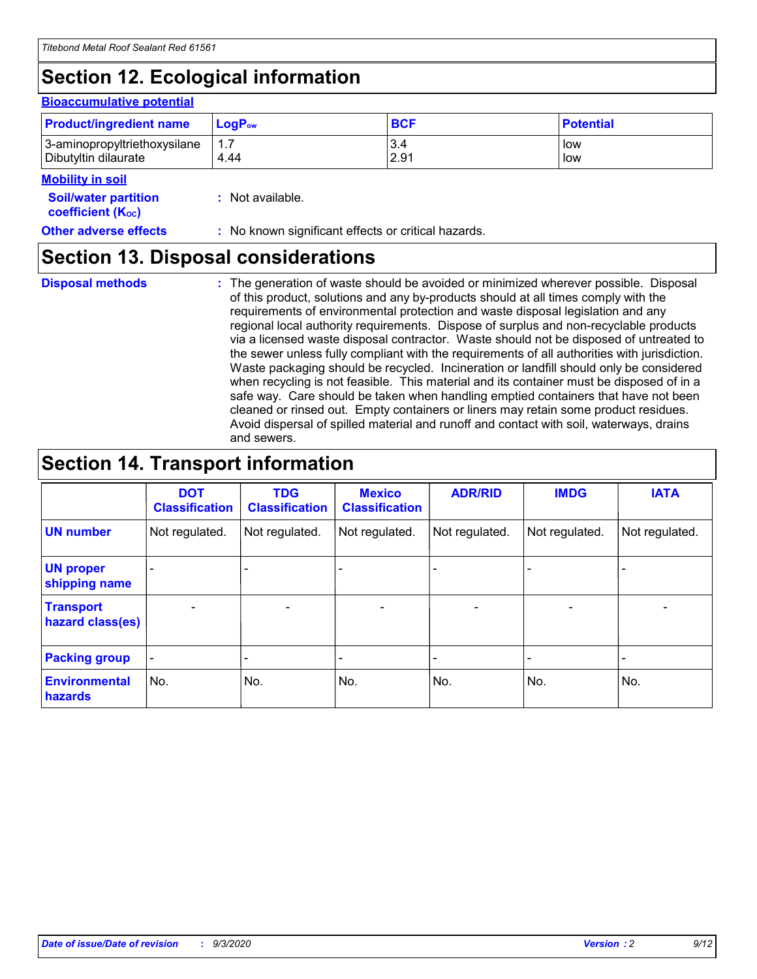# **Section 12. Ecological information**

#### **Bioaccumulative potential**

| <b>Product/ingredient name</b> | <b>LogP</b> <sub>ow</sub> | <b>BCF</b> | <b>Potential</b> |
|--------------------------------|---------------------------|------------|------------------|
| 3-aminopropyltriethoxysilane   | 4.44                      | 3.4        | low              |
| Dibutyltin dilaurate           |                           | 2.91       | low              |

#### **Mobility in soil**

| <b>Soil/water partition</b> | : Not available. |
|-----------------------------|------------------|
| <b>coefficient (Koc)</b>    |                  |

## **Other adverse effects** : No known significant effects or critical hazards.

# **Section 13. Disposal considerations**

**Disposal methods :**

The generation of waste should be avoided or minimized wherever possible. Disposal of this product, solutions and any by-products should at all times comply with the requirements of environmental protection and waste disposal legislation and any regional local authority requirements. Dispose of surplus and non-recyclable products via a licensed waste disposal contractor. Waste should not be disposed of untreated to the sewer unless fully compliant with the requirements of all authorities with jurisdiction. Waste packaging should be recycled. Incineration or landfill should only be considered when recycling is not feasible. This material and its container must be disposed of in a safe way. Care should be taken when handling emptied containers that have not been cleaned or rinsed out. Empty containers or liners may retain some product residues. Avoid dispersal of spilled material and runoff and contact with soil, waterways, drains and sewers.

# **Section 14. Transport information**

|                                      | <b>DOT</b><br><b>Classification</b> | <b>TDG</b><br><b>Classification</b> | <b>Mexico</b><br><b>Classification</b> | <b>ADR/RID</b>           | <b>IMDG</b>              | <b>IATA</b>    |
|--------------------------------------|-------------------------------------|-------------------------------------|----------------------------------------|--------------------------|--------------------------|----------------|
| <b>UN number</b>                     | Not regulated.                      | Not regulated.                      | Not regulated.                         | Not regulated.           | Not regulated.           | Not regulated. |
| <b>UN proper</b><br>shipping name    |                                     |                                     |                                        |                          |                          |                |
| <b>Transport</b><br>hazard class(es) |                                     | $\overline{\phantom{0}}$            | $\qquad \qquad \blacksquare$           | $\overline{\phantom{0}}$ | $\overline{\phantom{0}}$ |                |
| <b>Packing group</b>                 |                                     |                                     |                                        |                          |                          |                |
| <b>Environmental</b><br>hazards      | No.                                 | No.                                 | No.                                    | No.                      | No.                      | No.            |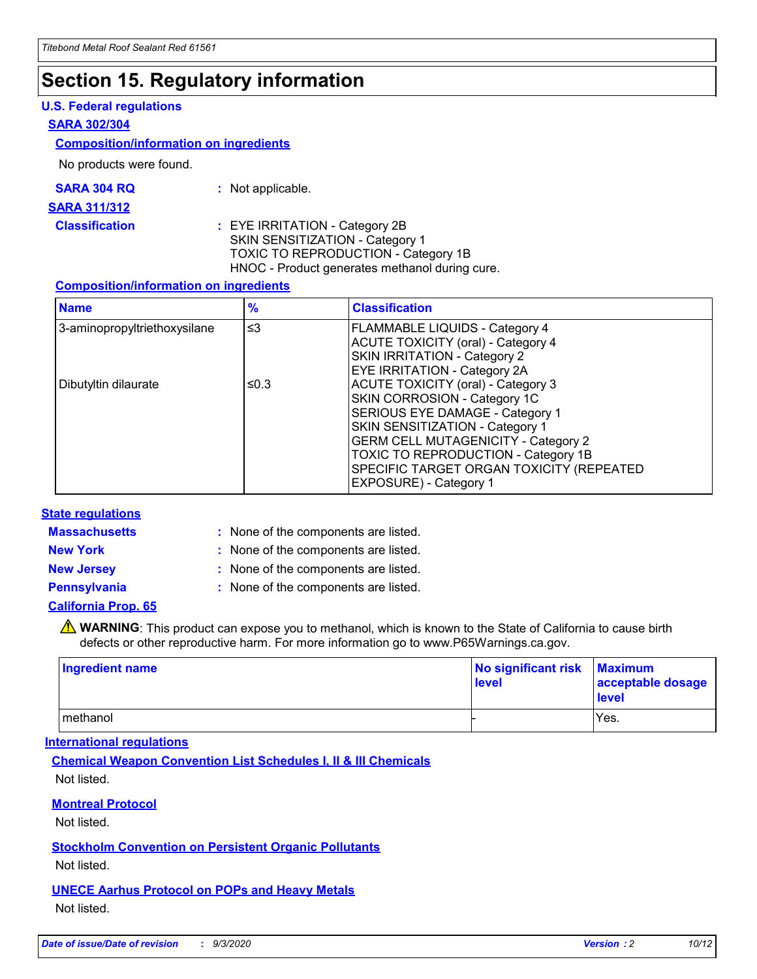# **Section 15. Regulatory information**

### **U.S. Federal regulations**

### **SARA 302/304**

### **Composition/information on ingredients**

No products were found.

| SARA 304 RQ | Not applicable. |
|-------------|-----------------|
|-------------|-----------------|

#### **SARA 311/312**

### **Classification :** EYE IRRITATION - Category 2B SKIN SENSITIZATION - Category 1 TOXIC TO REPRODUCTION - Category 1B HNOC - Product generates methanol during cure.

### **Composition/information on ingredients**

| <b>Name</b>                  | $\frac{9}{6}$ | <b>Classification</b>                                                                                                                                                                                                                                                                                      |
|------------------------------|---------------|------------------------------------------------------------------------------------------------------------------------------------------------------------------------------------------------------------------------------------------------------------------------------------------------------------|
| 3-aminopropyltriethoxysilane | $\leq$ 3      | <b>FLAMMABLE LIQUIDS - Category 4</b><br><b>ACUTE TOXICITY (oral) - Category 4</b><br><b>SKIN IRRITATION - Category 2</b><br>EYE IRRITATION - Category 2A                                                                                                                                                  |
| Dibutyltin dilaurate         | ≤0.3          | <b>ACUTE TOXICITY (oral) - Category 3</b><br>SKIN CORROSION - Category 1C<br>SERIOUS EYE DAMAGE - Category 1<br>SKIN SENSITIZATION - Category 1<br><b>GERM CELL MUTAGENICITY - Category 2</b><br>TOXIC TO REPRODUCTION - Category 1B<br>SPECIFIC TARGET ORGAN TOXICITY (REPEATED<br>EXPOSURE) - Category 1 |

### **State regulations**

**Massachusetts :**

: None of the components are listed.

**New York :** None of the components are listed. **New Jersey :** None of the components are listed.

**Pennsylvania :** None of the components are listed.

### **California Prop. 65**

WARNING: This product can expose you to methanol, which is known to the State of California to cause birth defects or other reproductive harm. For more information go to www.P65Warnings.ca.gov.

| Ingredient name | No significant risk<br>level | <b>Maximum</b><br>acceptable dosage<br><b>level</b> |
|-----------------|------------------------------|-----------------------------------------------------|
| l methanol      |                              | Yes.                                                |

### **International regulations**

**Chemical Weapon Convention List Schedules I, II & III Chemicals** Not listed.

### **Montreal Protocol**

Not listed.

**Stockholm Convention on Persistent Organic Pollutants**

Not listed.

### **UNECE Aarhus Protocol on POPs and Heavy Metals** Not listed.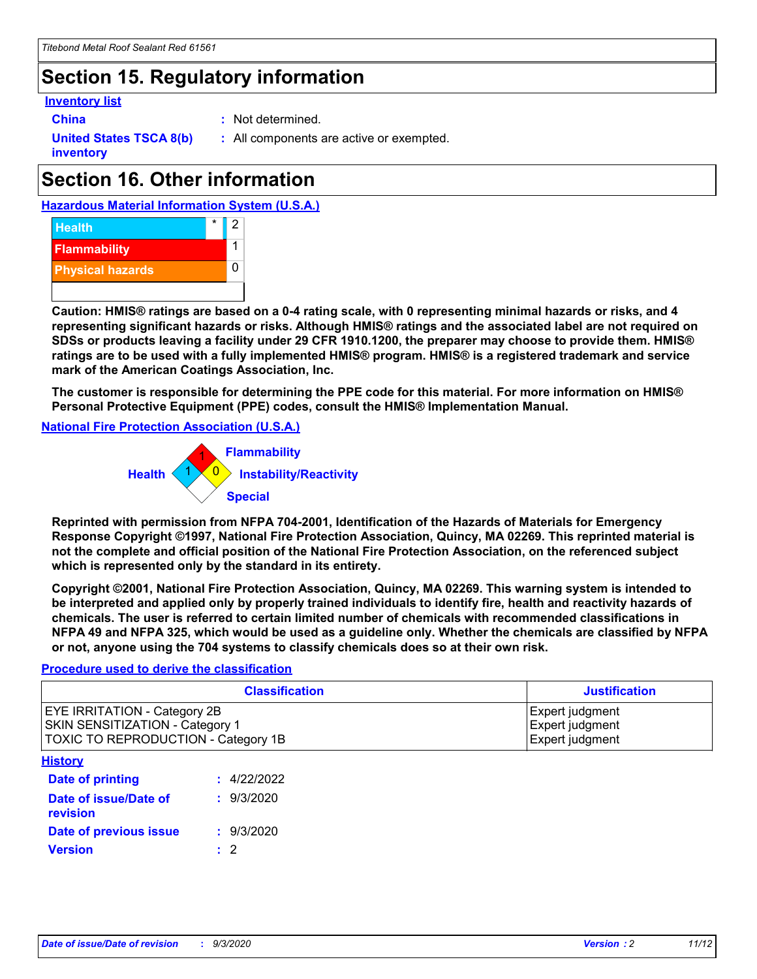# **Section 15. Regulatory information**

### **Inventory list**

**China :** Not determined.

**United States TSCA 8(b) inventory**

**:** All components are active or exempted.

# **Section 16. Other information**





**Caution: HMIS® ratings are based on a 0-4 rating scale, with 0 representing minimal hazards or risks, and 4 representing significant hazards or risks. Although HMIS® ratings and the associated label are not required on SDSs or products leaving a facility under 29 CFR 1910.1200, the preparer may choose to provide them. HMIS® ratings are to be used with a fully implemented HMIS® program. HMIS® is a registered trademark and service mark of the American Coatings Association, Inc.**

**The customer is responsible for determining the PPE code for this material. For more information on HMIS® Personal Protective Equipment (PPE) codes, consult the HMIS® Implementation Manual.**

**National Fire Protection Association (U.S.A.)**



**Reprinted with permission from NFPA 704-2001, Identification of the Hazards of Materials for Emergency Response Copyright ©1997, National Fire Protection Association, Quincy, MA 02269. This reprinted material is not the complete and official position of the National Fire Protection Association, on the referenced subject which is represented only by the standard in its entirety.**

**Copyright ©2001, National Fire Protection Association, Quincy, MA 02269. This warning system is intended to be interpreted and applied only by properly trained individuals to identify fire, health and reactivity hazards of chemicals. The user is referred to certain limited number of chemicals with recommended classifications in NFPA 49 and NFPA 325, which would be used as a guideline only. Whether the chemicals are classified by NFPA or not, anyone using the 704 systems to classify chemicals does so at their own risk.**

### **Procedure used to derive the classification**

| <b>Classification</b>                                                                                         | <b>Justification</b>                                  |
|---------------------------------------------------------------------------------------------------------------|-------------------------------------------------------|
| <b>EYE IRRITATION - Category 2B</b><br>SKIN SENSITIZATION - Category 1<br>TOXIC TO REPRODUCTION - Category 1B | Expert judgment<br>Expert judgment<br>Expert judgment |
| <b>History</b>                                                                                                |                                                       |

| .                                 |             |
|-----------------------------------|-------------|
| Date of printing                  | : 4/22/2022 |
| Date of issue/Date of<br>revision | : 9/3/2020  |
| Date of previous issue            | : 9/3/2020  |
| <b>Version</b>                    | $\cdot$ 2   |
|                                   |             |